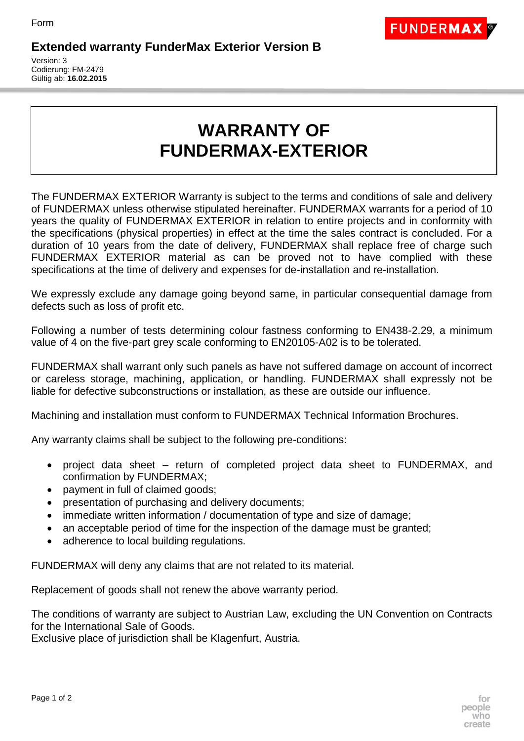

## **Extended warranty FunderMax Exterior Version B**

Version: 3 Codierung: FM-2479 Gültig ab: **16.02.2015**

## **WARRANTY OF FUNDERMAX-EXTERIOR**

The FUNDERMAX EXTERIOR Warranty is subject to the terms and conditions of sale and delivery of FUNDERMAX unless otherwise stipulated hereinafter. FUNDERMAX warrants for a period of 10 years the quality of FUNDERMAX EXTERIOR in relation to entire projects and in conformity with the specifications (physical properties) in effect at the time the sales contract is concluded. For a duration of 10 years from the date of delivery, FUNDERMAX shall replace free of charge such FUNDERMAX EXTERIOR material as can be proved not to have complied with these specifications at the time of delivery and expenses for de-installation and re-installation.

We expressly exclude any damage going beyond same, in particular consequential damage from defects such as loss of profit etc.

Following a number of tests determining colour fastness conforming to EN438-2.29, a minimum value of 4 on the five-part grey scale conforming to EN20105-A02 is to be tolerated.

FUNDERMAX shall warrant only such panels as have not suffered damage on account of incorrect or careless storage, machining, application, or handling. FUNDERMAX shall expressly not be liable for defective subconstructions or installation, as these are outside our influence.

Machining and installation must conform to FUNDERMAX Technical Information Brochures.

Any warranty claims shall be subject to the following pre-conditions:

- project data sheet return of completed project data sheet to FUNDERMAX, and confirmation by FUNDERMAX;
- payment in full of claimed goods;
- presentation of purchasing and delivery documents;
- immediate written information / documentation of type and size of damage;
- an acceptable period of time for the inspection of the damage must be granted;
- adherence to local building regulations.

FUNDERMAX will deny any claims that are not related to its material.

Replacement of goods shall not renew the above warranty period.

The conditions of warranty are subject to Austrian Law, excluding the UN Convention on Contracts for the International Sale of Goods.

Exclusive place of jurisdiction shall be Klagenfurt, Austria.